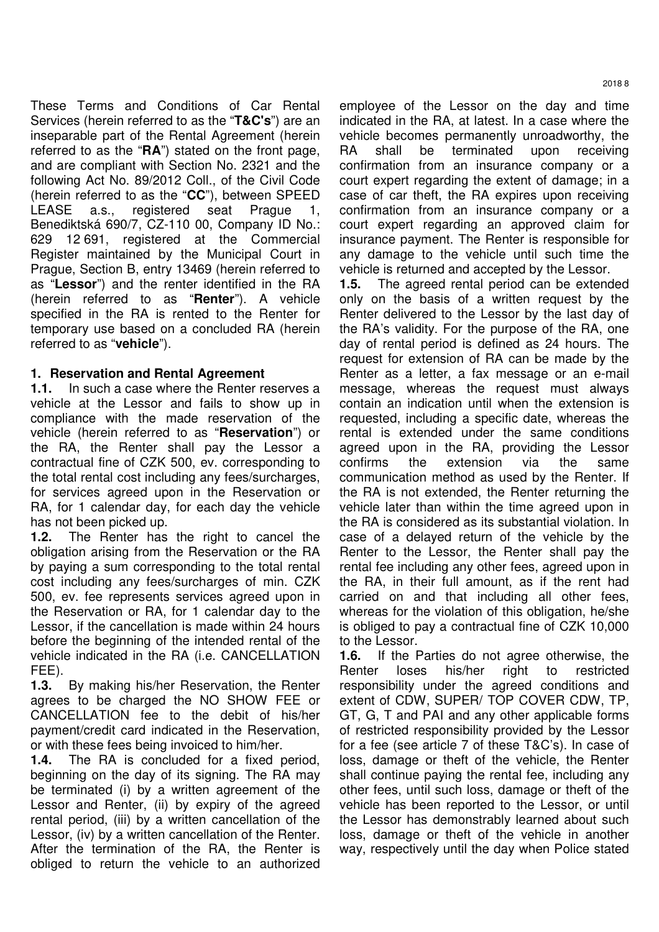These Terms and Conditions of Car Rental Services (herein referred to as the "**T&C's**") are an inseparable part of the Rental Agreement (herein referred to as the "**RA**") stated on the front page, and are compliant with Section No. 2321 and the following Act No. 89/2012 Coll., of the Civil Code (herein referred to as the "**CC**"), between SPEED LEASE a.s., registered seat Prague 1, Benediktská 690/7, CZ-110 00, Company ID No.: 629 12 691, registered at the Commercial Register maintained by the Municipal Court in Prague, Section B, entry 13469 (herein referred to as "**Lessor**") and the renter identified in the RA (herein referred to as "**Renter**"). A vehicle specified in the RA is rented to the Renter for temporary use based on a concluded RA (herein referred to as "**vehicle**").

## **1. Reservation and Rental Agreement**

**1.1.** In such a case where the Renter reserves a vehicle at the Lessor and fails to show up in compliance with the made reservation of the vehicle (herein referred to as "**Reservation**") or the RA, the Renter shall pay the Lessor a contractual fine of CZK 500, ev. corresponding to the total rental cost including any fees/surcharges, for services agreed upon in the Reservation or RA, for 1 calendar day, for each day the vehicle has not been picked up.

**1.2.** The Renter has the right to cancel the obligation arising from the Reservation or the RA by paying a sum corresponding to the total rental cost including any fees/surcharges of min. CZK 500, ev. fee represents services agreed upon in the Reservation or RA, for 1 calendar day to the Lessor, if the cancellation is made within 24 hours before the beginning of the intended rental of the vehicle indicated in the RA (i.e. CANCELLATION FEE).

**1.3.** By making his/her Reservation, the Renter agrees to be charged the NO SHOW FEE or CANCELLATION fee to the debit of his/her payment/credit card indicated in the Reservation, or with these fees being invoiced to him/her.

**1.4.** The RA is concluded for a fixed period, beginning on the day of its signing. The RA may be terminated (i) by a written agreement of the Lessor and Renter, (ii) by expiry of the agreed rental period, (iii) by a written cancellation of the Lessor, (iv) by a written cancellation of the Renter. After the termination of the RA, the Renter is obliged to return the vehicle to an authorized

employee of the Lessor on the day and time indicated in the RA, at latest. In a case where the vehicle becomes permanently unroadworthy, the RA shall be terminated upon receiving confirmation from an insurance company or a court expert regarding the extent of damage; in a case of car theft, the RA expires upon receiving confirmation from an insurance company or a court expert regarding an approved claim for insurance payment. The Renter is responsible for any damage to the vehicle until such time the vehicle is returned and accepted by the Lessor.

**1.5.** The agreed rental period can be extended only on the basis of a written request by the Renter delivered to the Lessor by the last day of the RA's validity. For the purpose of the RA, one day of rental period is defined as 24 hours. The request for extension of RA can be made by the Renter as a letter, a fax message or an e-mail message, whereas the request must always contain an indication until when the extension is requested, including a specific date, whereas the rental is extended under the same conditions agreed upon in the RA, providing the Lessor confirms the extension via the same communication method as used by the Renter. If the RA is not extended, the Renter returning the vehicle later than within the time agreed upon in the RA is considered as its substantial violation. In case of a delayed return of the vehicle by the Renter to the Lessor, the Renter shall pay the rental fee including any other fees, agreed upon in the RA, in their full amount, as if the rent had carried on and that including all other fees, whereas for the violation of this obligation, he/she is obliged to pay a contractual fine of CZK 10,000 to the Lessor.

**1.6.** If the Parties do not agree otherwise, the Renter loses his/her right to restricted responsibility under the agreed conditions and extent of CDW, SUPER/ TOP COVER CDW, TP, GT, G, T and PAI and any other applicable forms of restricted responsibility provided by the Lessor for a fee (see article 7 of these T&C's). In case of loss, damage or theft of the vehicle, the Renter shall continue paying the rental fee, including any other fees, until such loss, damage or theft of the vehicle has been reported to the Lessor, or until the Lessor has demonstrably learned about such loss, damage or theft of the vehicle in another way, respectively until the day when Police stated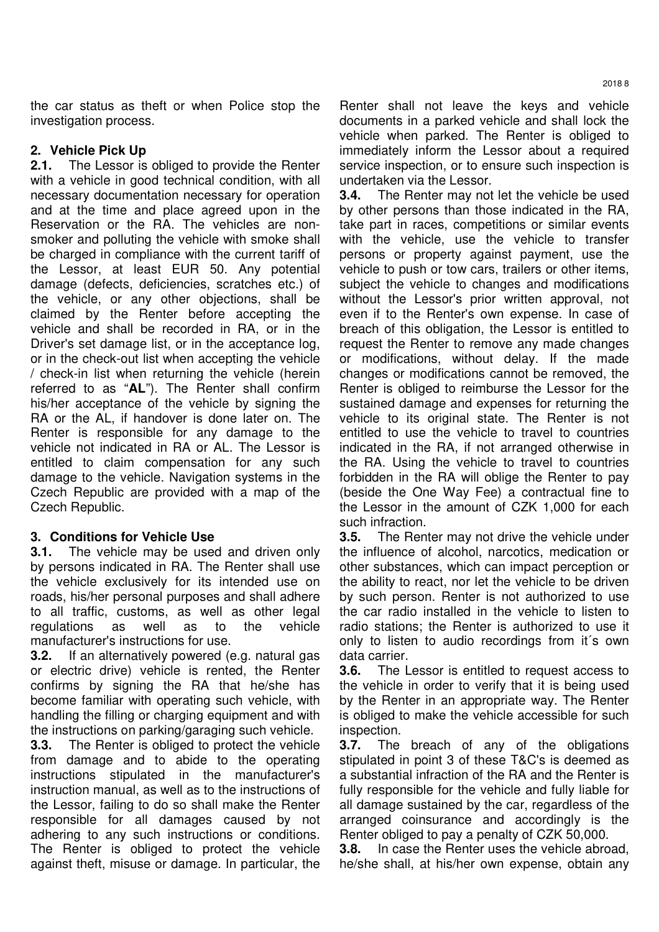the car status as theft or when Police stop the investigation process.

# **2. Vehicle Pick Up**

**2.1.** The Lessor is obliged to provide the Renter with a vehicle in good technical condition, with all necessary documentation necessary for operation and at the time and place agreed upon in the Reservation or the RA. The vehicles are nonsmoker and polluting the vehicle with smoke shall be charged in compliance with the current tariff of the Lessor, at least EUR 50. Any potential damage (defects, deficiencies, scratches etc.) of the vehicle, or any other objections, shall be claimed by the Renter before accepting the vehicle and shall be recorded in RA, or in the Driver's set damage list, or in the acceptance log, or in the check-out list when accepting the vehicle / check-in list when returning the vehicle (herein referred to as "**AL**"). The Renter shall confirm his/her acceptance of the vehicle by signing the RA or the AL, if handover is done later on. The Renter is responsible for any damage to the vehicle not indicated in RA or AL. The Lessor is entitled to claim compensation for any such damage to the vehicle. Navigation systems in the Czech Republic are provided with a map of the Czech Republic.

## **3. Conditions for Vehicle Use**

**3.1.** The vehicle may be used and driven only by persons indicated in RA. The Renter shall use the vehicle exclusively for its intended use on roads, his/her personal purposes and shall adhere to all traffic, customs, as well as other legal regulations as well as to the vehicle manufacturer's instructions for use.

**3.2.** If an alternatively powered (e.g. natural gas or electric drive) vehicle is rented, the Renter confirms by signing the RA that he/she has become familiar with operating such vehicle, with handling the filling or charging equipment and with the instructions on parking/garaging such vehicle.

**3.3.** The Renter is obliged to protect the vehicle from damage and to abide to the operating instructions stipulated in the manufacturer's instruction manual, as well as to the instructions of the Lessor, failing to do so shall make the Renter responsible for all damages caused by not adhering to any such instructions or conditions. The Renter is obliged to protect the vehicle against theft, misuse or damage. In particular, the

Renter shall not leave the keys and vehicle documents in a parked vehicle and shall lock the vehicle when parked. The Renter is obliged to immediately inform the Lessor about a required service inspection, or to ensure such inspection is undertaken via the Lessor.

**3.4.** The Renter may not let the vehicle be used by other persons than those indicated in the RA, take part in races, competitions or similar events with the vehicle, use the vehicle to transfer persons or property against payment, use the vehicle to push or tow cars, trailers or other items, subject the vehicle to changes and modifications without the Lessor's prior written approval, not even if to the Renter's own expense. In case of breach of this obligation, the Lessor is entitled to request the Renter to remove any made changes or modifications, without delay. If the made changes or modifications cannot be removed, the Renter is obliged to reimburse the Lessor for the sustained damage and expenses for returning the vehicle to its original state. The Renter is not entitled to use the vehicle to travel to countries indicated in the RA, if not arranged otherwise in the RA. Using the vehicle to travel to countries forbidden in the RA will oblige the Renter to pay (beside the One Way Fee) a contractual fine to the Lessor in the amount of CZK 1,000 for each such infraction.

**3.5.** The Renter may not drive the vehicle under the influence of alcohol, narcotics, medication or other substances, which can impact perception or the ability to react, nor let the vehicle to be driven by such person. Renter is not authorized to use the car radio installed in the vehicle to listen to radio stations; the Renter is authorized to use it only to listen to audio recordings from it´s own data carrier.

**3.6.** The Lessor is entitled to request access to the vehicle in order to verify that it is being used by the Renter in an appropriate way. The Renter is obliged to make the vehicle accessible for such inspection.

**3.7.** The breach of any of the obligations stipulated in point 3 of these T&C's is deemed as a substantial infraction of the RA and the Renter is fully responsible for the vehicle and fully liable for all damage sustained by the car, regardless of the arranged coinsurance and accordingly is the Renter obliged to pay a penalty of CZK 50,000.

**3.8.** In case the Renter uses the vehicle abroad, he/she shall, at his/her own expense, obtain any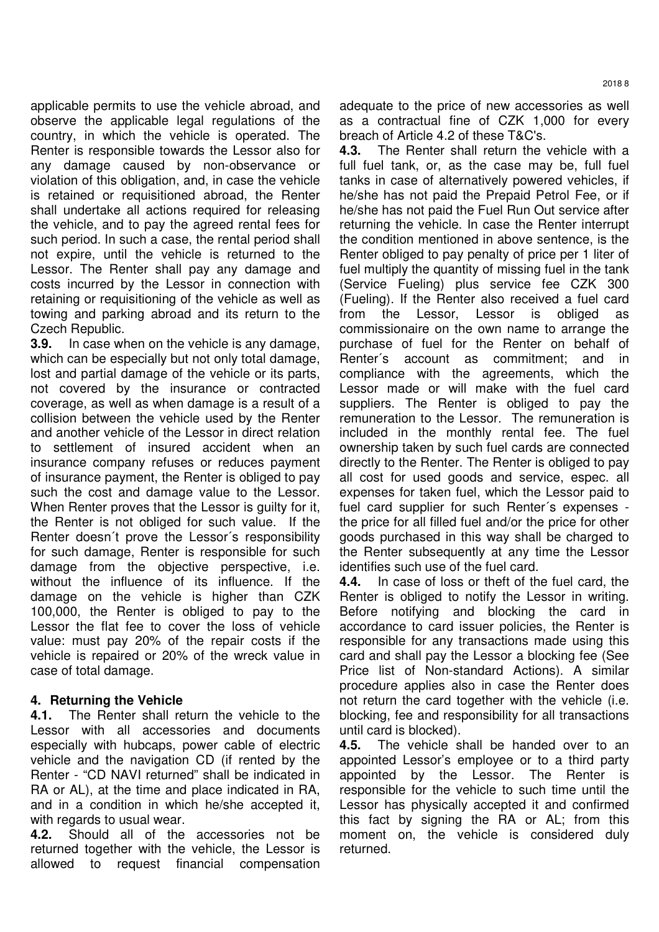applicable permits to use the vehicle abroad, and observe the applicable legal regulations of the country, in which the vehicle is operated. The Renter is responsible towards the Lessor also for any damage caused by non-observance or violation of this obligation, and, in case the vehicle is retained or requisitioned abroad, the Renter shall undertake all actions required for releasing the vehicle, and to pay the agreed rental fees for such period. In such a case, the rental period shall not expire, until the vehicle is returned to the Lessor. The Renter shall pay any damage and costs incurred by the Lessor in connection with retaining or requisitioning of the vehicle as well as towing and parking abroad and its return to the Czech Republic.

**3.9.** In case when on the vehicle is any damage, which can be especially but not only total damage, lost and partial damage of the vehicle or its parts, not covered by the insurance or contracted coverage, as well as when damage is a result of a collision between the vehicle used by the Renter and another vehicle of the Lessor in direct relation to settlement of insured accident when an insurance company refuses or reduces payment of insurance payment, the Renter is obliged to pay such the cost and damage value to the Lessor. When Renter proves that the Lessor is guilty for it, the Renter is not obliged for such value. If the Renter doesn´t prove the Lessor´s responsibility for such damage, Renter is responsible for such damage from the objective perspective, i.e. without the influence of its influence. If the damage on the vehicle is higher than CZK 100,000, the Renter is obliged to pay to the Lessor the flat fee to cover the loss of vehicle value: must pay 20% of the repair costs if the vehicle is repaired or 20% of the wreck value in case of total damage.

## **4. Returning the Vehicle**

**4.1.** The Renter shall return the vehicle to the Lessor with all accessories and documents especially with hubcaps, power cable of electric vehicle and the navigation CD (if rented by the Renter - "CD NAVI returned" shall be indicated in RA or AL), at the time and place indicated in RA, and in a condition in which he/she accepted it, with regards to usual wear.

**4.2.** Should all of the accessories not be returned together with the vehicle, the Lessor is allowed to request financial compensation adequate to the price of new accessories as well as a contractual fine of CZK 1,000 for every breach of Article 4.2 of these T&C's.

**4.3.** The Renter shall return the vehicle with a full fuel tank, or, as the case may be, full fuel tanks in case of alternatively powered vehicles, if he/she has not paid the Prepaid Petrol Fee, or if he/she has not paid the Fuel Run Out service after returning the vehicle. In case the Renter interrupt the condition mentioned in above sentence, is the Renter obliged to pay penalty of price per 1 liter of fuel multiply the quantity of missing fuel in the tank (Service Fueling) plus service fee CZK 300 (Fueling). If the Renter also received a fuel card from the Lessor, Lessor is obliged as commissionaire on the own name to arrange the purchase of fuel for the Renter on behalf of Renter´s account as commitment; and in compliance with the agreements, which the Lessor made or will make with the fuel card suppliers. The Renter is obliged to pay the remuneration to the Lessor. The remuneration is included in the monthly rental fee. The fuel ownership taken by such fuel cards are connected directly to the Renter. The Renter is obliged to pay all cost for used goods and service, espec. all expenses for taken fuel, which the Lessor paid to fuel card supplier for such Renter´s expenses the price for all filled fuel and/or the price for other goods purchased in this way shall be charged to the Renter subsequently at any time the Lessor identifies such use of the fuel card.

**4.4.** In case of loss or theft of the fuel card, the Renter is obliged to notify the Lessor in writing. Before notifying and blocking the card in accordance to card issuer policies, the Renter is responsible for any transactions made using this card and shall pay the Lessor a blocking fee (See Price list of Non-standard Actions). A similar procedure applies also in case the Renter does not return the card together with the vehicle (i.e. blocking, fee and responsibility for all transactions until card is blocked).

**4.5.** The vehicle shall be handed over to an appointed Lessor's employee or to a third party appointed by the Lessor. The Renter is responsible for the vehicle to such time until the Lessor has physically accepted it and confirmed this fact by signing the RA or AL; from this moment on, the vehicle is considered duly returned.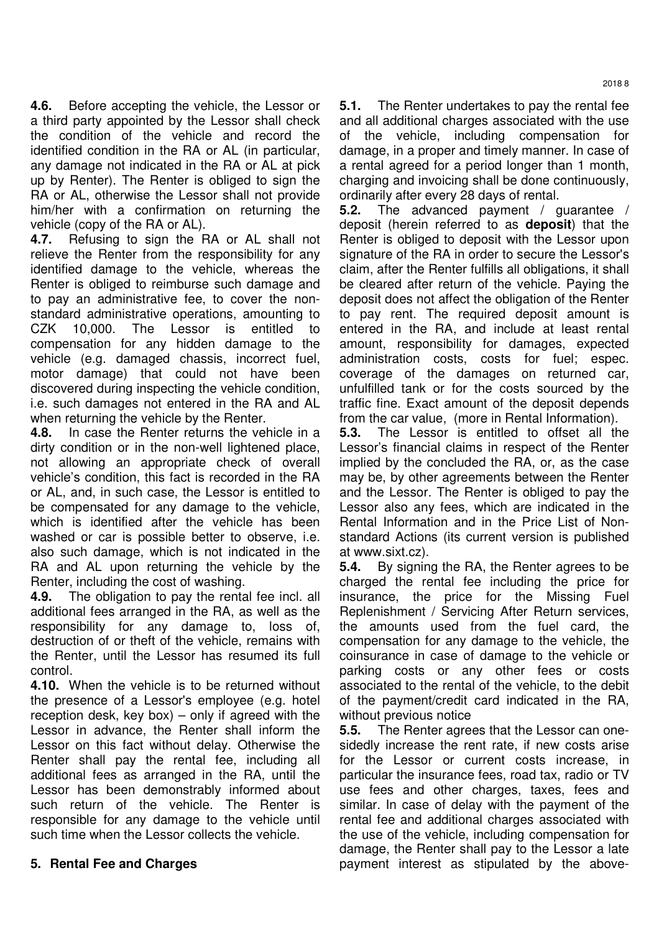**4.6.** Before accepting the vehicle, the Lessor or a third party appointed by the Lessor shall check the condition of the vehicle and record the identified condition in the RA or AL (in particular, any damage not indicated in the RA or AL at pick up by Renter). The Renter is obliged to sign the RA or AL, otherwise the Lessor shall not provide him/her with a confirmation on returning the vehicle (copy of the RA or AL).

**4.7.** Refusing to sign the RA or AL shall not relieve the Renter from the responsibility for any identified damage to the vehicle, whereas the Renter is obliged to reimburse such damage and to pay an administrative fee, to cover the nonstandard administrative operations, amounting to CZK 10,000. The Lessor is entitled to compensation for any hidden damage to the vehicle (e.g. damaged chassis, incorrect fuel, motor damage) that could not have been discovered during inspecting the vehicle condition, i.e. such damages not entered in the RA and AL when returning the vehicle by the Renter.

**4.8.** In case the Renter returns the vehicle in a dirty condition or in the non-well lightened place, not allowing an appropriate check of overall vehicle's condition, this fact is recorded in the RA or AL, and, in such case, the Lessor is entitled to be compensated for any damage to the vehicle, which is identified after the vehicle has been washed or car is possible better to observe, i.e. also such damage, which is not indicated in the RA and AL upon returning the vehicle by the Renter, including the cost of washing.

**4.9.** The obligation to pay the rental fee incl. all additional fees arranged in the RA, as well as the responsibility for any damage to, loss of, destruction of or theft of the vehicle, remains with the Renter, until the Lessor has resumed its full control.

**4.10.** When the vehicle is to be returned without the presence of a Lessor's employee (e.g. hotel reception desk, key box) – only if agreed with the Lessor in advance, the Renter shall inform the Lessor on this fact without delay. Otherwise the Renter shall pay the rental fee, including all additional fees as arranged in the RA, until the Lessor has been demonstrably informed about such return of the vehicle. The Renter is responsible for any damage to the vehicle until such time when the Lessor collects the vehicle.

## **5. Rental Fee and Charges**

**5.1.** The Renter undertakes to pay the rental fee and all additional charges associated with the use of the vehicle, including compensation for damage, in a proper and timely manner. In case of a rental agreed for a period longer than 1 month, charging and invoicing shall be done continuously, ordinarily after every 28 days of rental.

**5.2.** The advanced payment / guarantee / deposit (herein referred to as **deposit**) that the Renter is obliged to deposit with the Lessor upon signature of the RA in order to secure the Lessor's claim, after the Renter fulfills all obligations, it shall be cleared after return of the vehicle. Paying the deposit does not affect the obligation of the Renter to pay rent. The required deposit amount is entered in the RA, and include at least rental amount, responsibility for damages, expected administration costs, costs for fuel; espec. coverage of the damages on returned car, unfulfilled tank or for the costs sourced by the traffic fine. Exact amount of the deposit depends from the car value, (more in Rental Information).

**5.3.** The Lessor is entitled to offset all the Lessor's financial claims in respect of the Renter implied by the concluded the RA, or, as the case may be, by other agreements between the Renter and the Lessor. The Renter is obliged to pay the Lessor also any fees, which are indicated in the Rental Information and in the Price List of Nonstandard Actions (its current version is published at www.sixt.cz).

**5.4.** By signing the RA, the Renter agrees to be charged the rental fee including the price for insurance, the price for the Missing Fuel Replenishment / Servicing After Return services, the amounts used from the fuel card, the compensation for any damage to the vehicle, the coinsurance in case of damage to the vehicle or parking costs or any other fees or costs associated to the rental of the vehicle, to the debit of the payment/credit card indicated in the RA, without previous notice

**5.5.** The Renter agrees that the Lessor can onesidedly increase the rent rate, if new costs arise for the Lessor or current costs increase, in particular the insurance fees, road tax, radio or TV use fees and other charges, taxes, fees and similar. In case of delay with the payment of the rental fee and additional charges associated with the use of the vehicle, including compensation for damage, the Renter shall pay to the Lessor a late payment interest as stipulated by the above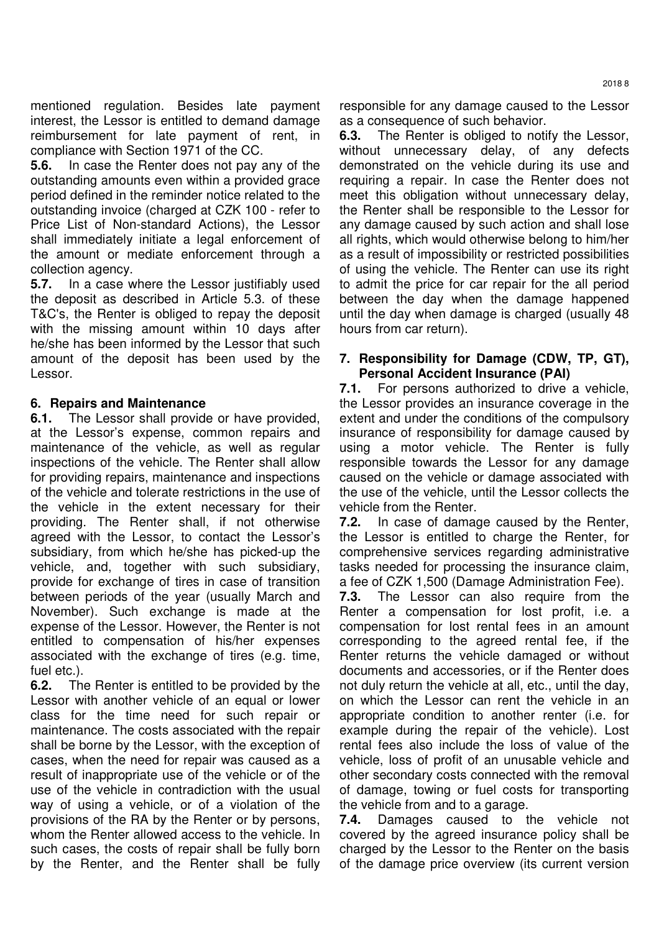mentioned regulation. Besides late payment interest, the Lessor is entitled to demand damage reimbursement for late payment of rent, in compliance with Section 1971 of the CC.

**5.6.** In case the Renter does not pay any of the outstanding amounts even within a provided grace period defined in the reminder notice related to the outstanding invoice (charged at CZK 100 - refer to Price List of Non-standard Actions), the Lessor shall immediately initiate a legal enforcement of the amount or mediate enforcement through a collection agency.

**5.7.** In a case where the Lessor justifiably used the deposit as described in Article 5.3. of these T&C's, the Renter is obliged to repay the deposit with the missing amount within 10 days after he/she has been informed by the Lessor that such amount of the deposit has been used by the Lessor.

## **6. Repairs and Maintenance**

**6.1.** The Lessor shall provide or have provided, at the Lessor's expense, common repairs and maintenance of the vehicle, as well as regular inspections of the vehicle. The Renter shall allow for providing repairs, maintenance and inspections of the vehicle and tolerate restrictions in the use of the vehicle in the extent necessary for their providing. The Renter shall, if not otherwise agreed with the Lessor, to contact the Lessor's subsidiary, from which he/she has picked-up the vehicle, and, together with such subsidiary, provide for exchange of tires in case of transition between periods of the year (usually March and November). Such exchange is made at the expense of the Lessor. However, the Renter is not entitled to compensation of his/her expenses associated with the exchange of tires (e.g. time, fuel etc.).

**6.2.** The Renter is entitled to be provided by the Lessor with another vehicle of an equal or lower class for the time need for such repair or maintenance. The costs associated with the repair shall be borne by the Lessor, with the exception of cases, when the need for repair was caused as a result of inappropriate use of the vehicle or of the use of the vehicle in contradiction with the usual way of using a vehicle, or of a violation of the provisions of the RA by the Renter or by persons, whom the Renter allowed access to the vehicle. In such cases, the costs of repair shall be fully born by the Renter, and the Renter shall be fully responsible for any damage caused to the Lessor as a consequence of such behavior.

**6.3.** The Renter is obliged to notify the Lessor, without unnecessary delay, of any defects demonstrated on the vehicle during its use and requiring a repair. In case the Renter does not meet this obligation without unnecessary delay, the Renter shall be responsible to the Lessor for any damage caused by such action and shall lose all rights, which would otherwise belong to him/her as a result of impossibility or restricted possibilities of using the vehicle. The Renter can use its right to admit the price for car repair for the all period between the day when the damage happened until the day when damage is charged (usually 48 hours from car return).

#### **7. Responsibility for Damage (CDW, TP, GT), Personal Accident Insurance (PAI)**

**7.1.** For persons authorized to drive a vehicle, the Lessor provides an insurance coverage in the extent and under the conditions of the compulsory insurance of responsibility for damage caused by using a motor vehicle. The Renter is fully responsible towards the Lessor for any damage caused on the vehicle or damage associated with the use of the vehicle, until the Lessor collects the vehicle from the Renter.

**7.2.** In case of damage caused by the Renter, the Lessor is entitled to charge the Renter, for comprehensive services regarding administrative tasks needed for processing the insurance claim, a fee of CZK 1,500 (Damage Administration Fee).

**7.3.** The Lessor can also require from the Renter a compensation for lost profit, i.e. a compensation for lost rental fees in an amount corresponding to the agreed rental fee, if the Renter returns the vehicle damaged or without documents and accessories, or if the Renter does not duly return the vehicle at all, etc., until the day, on which the Lessor can rent the vehicle in an appropriate condition to another renter (i.e. for example during the repair of the vehicle). Lost rental fees also include the loss of value of the vehicle, loss of profit of an unusable vehicle and other secondary costs connected with the removal of damage, towing or fuel costs for transporting the vehicle from and to a garage.

**7.4.** Damages caused to the vehicle not covered by the agreed insurance policy shall be charged by the Lessor to the Renter on the basis of the damage price overview (its current version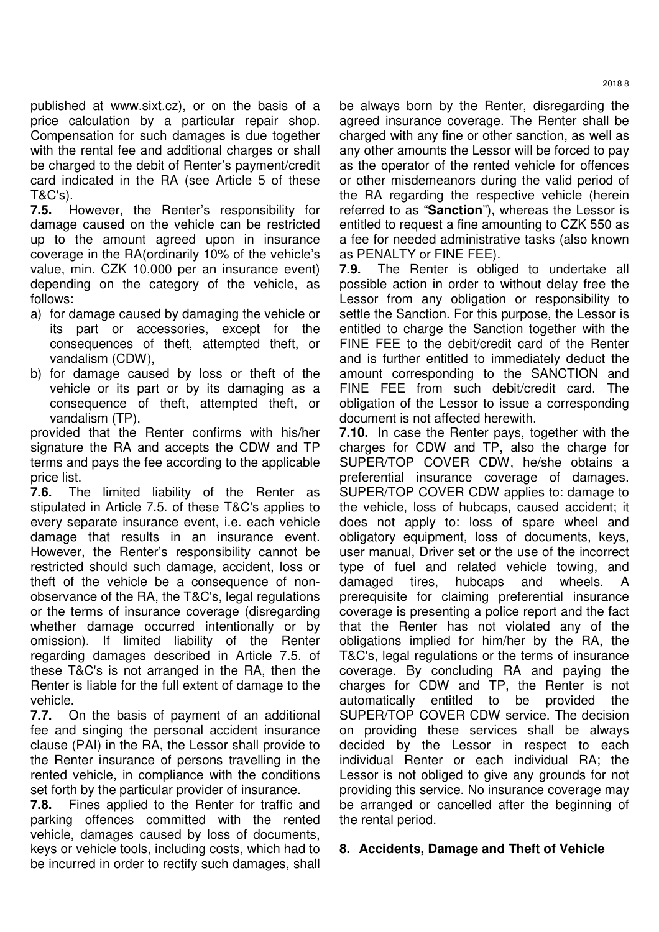published at www.sixt.cz), or on the basis of a price calculation by a particular repair shop. Compensation for such damages is due together with the rental fee and additional charges or shall be charged to the debit of Renter's payment/credit card indicated in the RA (see Article 5 of these T&C's).

**7.5.** However, the Renter's responsibility for damage caused on the vehicle can be restricted up to the amount agreed upon in insurance coverage in the RA(ordinarily 10% of the vehicle's value, min. CZK 10,000 per an insurance event) depending on the category of the vehicle, as follows:

- a) for damage caused by damaging the vehicle or its part or accessories, except for the consequences of theft, attempted theft, or vandalism (CDW),
- b) for damage caused by loss or theft of the vehicle or its part or by its damaging as a consequence of theft, attempted theft, or vandalism (TP),

provided that the Renter confirms with his/her signature the RA and accepts the CDW and TP terms and pays the fee according to the applicable price list.

**7.6.** The limited liability of the Renter as stipulated in Article 7.5. of these T&C's applies to every separate insurance event, i.e. each vehicle damage that results in an insurance event. However, the Renter's responsibility cannot be restricted should such damage, accident, loss or theft of the vehicle be a consequence of nonobservance of the RA, the T&C's, legal regulations or the terms of insurance coverage (disregarding whether damage occurred intentionally or by omission). If limited liability of the Renter regarding damages described in Article 7.5. of these T&C's is not arranged in the RA, then the Renter is liable for the full extent of damage to the vehicle.

**7.7.** On the basis of payment of an additional fee and singing the personal accident insurance clause (PAI) in the RA, the Lessor shall provide to the Renter insurance of persons travelling in the rented vehicle, in compliance with the conditions set forth by the particular provider of insurance.

**7.8.** Fines applied to the Renter for traffic and parking offences committed with the rented vehicle, damages caused by loss of documents, keys or vehicle tools, including costs, which had to be incurred in order to rectify such damages, shall

be always born by the Renter, disregarding the agreed insurance coverage. The Renter shall be charged with any fine or other sanction, as well as any other amounts the Lessor will be forced to pay as the operator of the rented vehicle for offences or other misdemeanors during the valid period of the RA regarding the respective vehicle (herein referred to as "**Sanction**"), whereas the Lessor is entitled to request a fine amounting to CZK 550 as a fee for needed administrative tasks (also known as PENALTY or FINE FEE).

**7.9.** The Renter is obliged to undertake all possible action in order to without delay free the Lessor from any obligation or responsibility to settle the Sanction. For this purpose, the Lessor is entitled to charge the Sanction together with the FINE FEE to the debit/credit card of the Renter and is further entitled to immediately deduct the amount corresponding to the SANCTION and FINE FEE from such debit/credit card. The obligation of the Lessor to issue a corresponding document is not affected herewith.

**7.10.** In case the Renter pays, together with the charges for CDW and TP, also the charge for SUPER/TOP COVER CDW, he/she obtains a preferential insurance coverage of damages. SUPER/TOP COVER CDW applies to: damage to the vehicle, loss of hubcaps, caused accident; it does not apply to: loss of spare wheel and obligatory equipment, loss of documents, keys, user manual, Driver set or the use of the incorrect type of fuel and related vehicle towing, and damaged tires, hubcaps and wheels. A prerequisite for claiming preferential insurance coverage is presenting a police report and the fact that the Renter has not violated any of the obligations implied for him/her by the RA, the T&C's, legal regulations or the terms of insurance coverage. By concluding RA and paying the charges for CDW and TP, the Renter is not automatically entitled to be provided the SUPER/TOP COVER CDW service. The decision on providing these services shall be always decided by the Lessor in respect to each individual Renter or each individual RA; the Lessor is not obliged to give any grounds for not providing this service. No insurance coverage may be arranged or cancelled after the beginning of the rental period.

# **8. Accidents, Damage and Theft of Vehicle**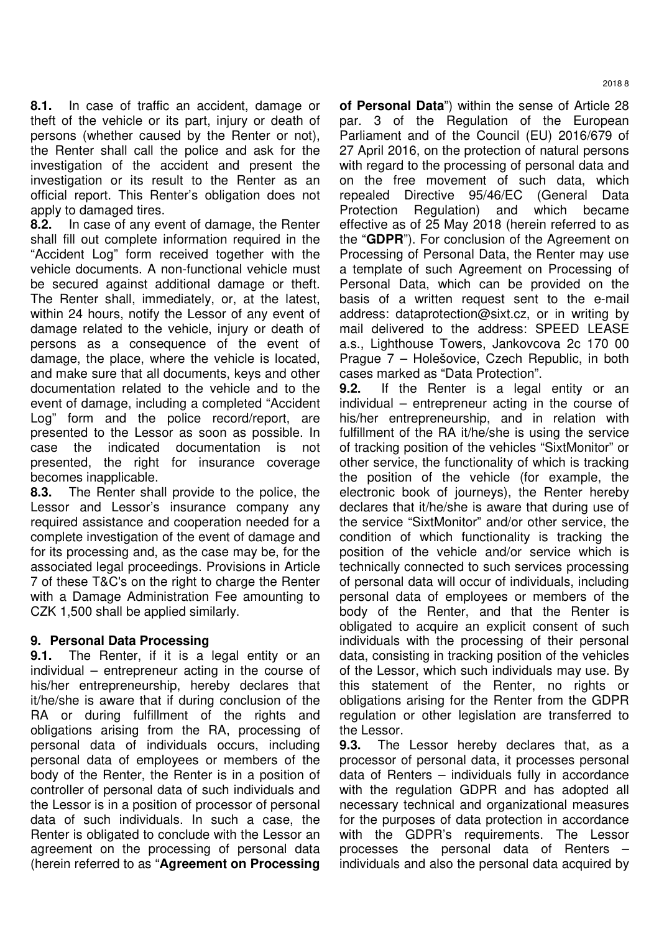**8.1.** In case of traffic an accident, damage or theft of the vehicle or its part, injury or death of persons (whether caused by the Renter or not), the Renter shall call the police and ask for the investigation of the accident and present the investigation or its result to the Renter as an official report. This Renter's obligation does not apply to damaged tires.

**8.2.** In case of any event of damage, the Renter shall fill out complete information required in the "Accident Log" form received together with the vehicle documents. A non-functional vehicle must be secured against additional damage or theft. The Renter shall, immediately, or, at the latest, within 24 hours, notify the Lessor of any event of damage related to the vehicle, injury or death of persons as a consequence of the event of damage, the place, where the vehicle is located, and make sure that all documents, keys and other documentation related to the vehicle and to the event of damage, including a completed "Accident Log" form and the police record/report, are presented to the Lessor as soon as possible. In case the indicated documentation is not presented, the right for insurance coverage becomes inapplicable.

**8.3.** The Renter shall provide to the police, the Lessor and Lessor's insurance company any required assistance and cooperation needed for a complete investigation of the event of damage and for its processing and, as the case may be, for the associated legal proceedings. Provisions in Article 7 of these T&C's on the right to charge the Renter with a Damage Administration Fee amounting to CZK 1,500 shall be applied similarly.

## **9. Personal Data Processing**

**9.1.** The Renter, if it is a legal entity or an individual – entrepreneur acting in the course of his/her entrepreneurship, hereby declares that it/he/she is aware that if during conclusion of the RA or during fulfillment of the rights and obligations arising from the RA, processing of personal data of individuals occurs, including personal data of employees or members of the body of the Renter, the Renter is in a position of controller of personal data of such individuals and the Lessor is in a position of processor of personal data of such individuals. In such a case, the Renter is obligated to conclude with the Lessor an agreement on the processing of personal data (herein referred to as "**Agreement on Processing** 

**of Personal Data**") within the sense of Article 28 par. 3 of the Regulation of the European Parliament and of the Council (EU) 2016/679 of 27 April 2016, on the protection of natural persons with regard to the processing of personal data and on the free movement of such data, which repealed Directive 95/46/EC (General Data Protection Regulation) and which became effective as of 25 May 2018 (herein referred to as the "**GDPR**"). For conclusion of the Agreement on Processing of Personal Data, the Renter may use a template of such Agreement on Processing of Personal Data, which can be provided on the basis of a written request sent to the e-mail address: dataprotection@sixt.cz, or in writing by mail delivered to the address: SPEED LEASE a.s., Lighthouse Towers, Jankovcova 2c 170 00 Prague 7 – Holešovice, Czech Republic, in both cases marked as "Data Protection".

**9.2.** If the Renter is a legal entity or an individual – entrepreneur acting in the course of his/her entrepreneurship, and in relation with fulfillment of the RA it/he/she is using the service of tracking position of the vehicles "SixtMonitor" or other service, the functionality of which is tracking the position of the vehicle (for example, the electronic book of journeys), the Renter hereby declares that it/he/she is aware that during use of the service "SixtMonitor" and/or other service, the condition of which functionality is tracking the position of the vehicle and/or service which is technically connected to such services processing of personal data will occur of individuals, including personal data of employees or members of the body of the Renter, and that the Renter is obligated to acquire an explicit consent of such individuals with the processing of their personal data, consisting in tracking position of the vehicles of the Lessor, which such individuals may use. By this statement of the Renter, no rights or obligations arising for the Renter from the GDPR regulation or other legislation are transferred to the Lessor.

**9.3.** The Lessor hereby declares that, as a processor of personal data, it processes personal data of Renters – individuals fully in accordance with the regulation GDPR and has adopted all necessary technical and organizational measures for the purposes of data protection in accordance with the GDPR's requirements. The Lessor processes the personal data of Renters – individuals and also the personal data acquired by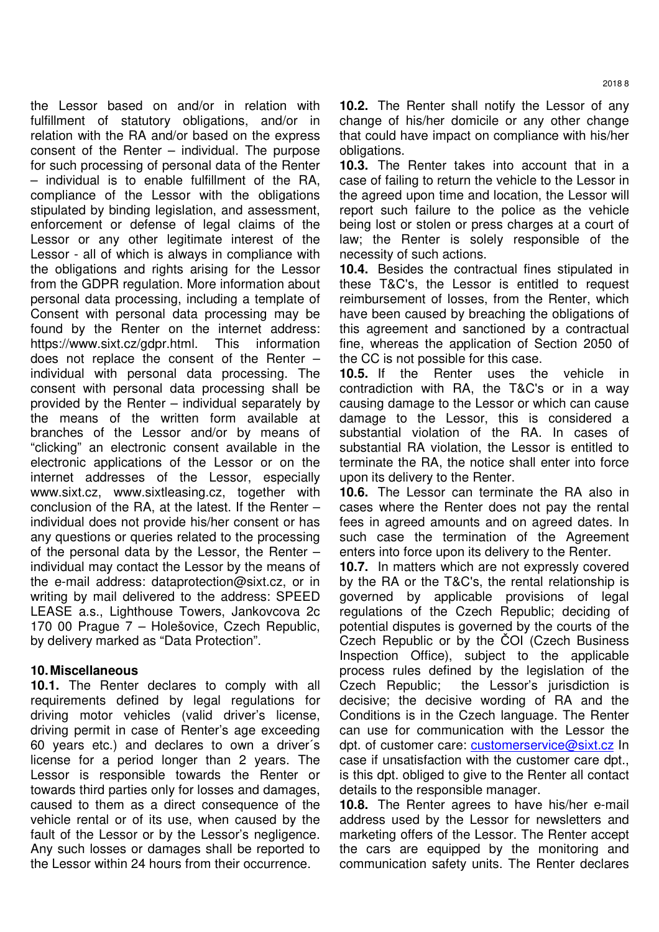the Lessor based on and/or in relation with fulfillment of statutory obligations, and/or in relation with the RA and/or based on the express consent of the Renter – individual. The purpose for such processing of personal data of the Renter – individual is to enable fulfillment of the RA, compliance of the Lessor with the obligations stipulated by binding legislation, and assessment, enforcement or defense of legal claims of the Lessor or any other legitimate interest of the Lessor - all of which is always in compliance with the obligations and rights arising for the Lessor from the GDPR regulation. More information about personal data processing, including a template of Consent with personal data processing may be found by the Renter on the internet address: https://www.sixt.cz/gdpr.html. This information does not replace the consent of the Renter – individual with personal data processing. The consent with personal data processing shall be provided by the Renter – individual separately by the means of the written form available at branches of the Lessor and/or by means of "clicking" an electronic consent available in the electronic applications of the Lessor or on the internet addresses of the Lessor, especially www.sixt.cz, www.sixtleasing.cz, together with conclusion of the RA, at the latest. If the Renter – individual does not provide his/her consent or has any questions or queries related to the processing of the personal data by the Lessor, the Renter – individual may contact the Lessor by the means of the e-mail address: dataprotection@sixt.cz, or in writing by mail delivered to the address: SPEED LEASE a.s., Lighthouse Towers, Jankovcova 2c 170 00 Prague 7 – Holešovice, Czech Republic, by delivery marked as "Data Protection".

## **10. Miscellaneous**

**10.1.** The Renter declares to comply with all requirements defined by legal regulations for driving motor vehicles (valid driver's license, driving permit in case of Renter's age exceeding 60 years etc.) and declares to own a driver´s license for a period longer than 2 years. The Lessor is responsible towards the Renter or towards third parties only for losses and damages, caused to them as a direct consequence of the vehicle rental or of its use, when caused by the fault of the Lessor or by the Lessor's negligence. Any such losses or damages shall be reported to the Lessor within 24 hours from their occurrence.

**10.2.** The Renter shall notify the Lessor of any change of his/her domicile or any other change that could have impact on compliance with his/her obligations.

**10.3.** The Renter takes into account that in a case of failing to return the vehicle to the Lessor in the agreed upon time and location, the Lessor will report such failure to the police as the vehicle being lost or stolen or press charges at a court of law; the Renter is solely responsible of the necessity of such actions.

**10.4.** Besides the contractual fines stipulated in these T&C's, the Lessor is entitled to request reimbursement of losses, from the Renter, which have been caused by breaching the obligations of this agreement and sanctioned by a contractual fine, whereas the application of Section 2050 of the CC is not possible for this case.

**10.5.** If the Renter uses the vehicle in contradiction with RA, the T&C's or in a way causing damage to the Lessor or which can cause damage to the Lessor, this is considered a substantial violation of the RA. In cases of substantial RA violation, the Lessor is entitled to terminate the RA, the notice shall enter into force upon its delivery to the Renter.

**10.6.** The Lessor can terminate the RA also in cases where the Renter does not pay the rental fees in agreed amounts and on agreed dates. In such case the termination of the Agreement enters into force upon its delivery to the Renter.

**10.7.** In matters which are not expressly covered by the RA or the T&C's, the rental relationship is governed by applicable provisions of legal regulations of the Czech Republic; deciding of potential disputes is governed by the courts of the Czech Republic or by the ČOI (Czech Business Inspection Office), subject to the applicable process rules defined by the legislation of the Czech Republic; the Lessor's jurisdiction is decisive; the decisive wording of RA and the Conditions is in the Czech language. The Renter can use for communication with the Lessor the dpt. of customer care: customerservice@sixt.cz In case if unsatisfaction with the customer care dpt., is this dpt. obliged to give to the Renter all contact details to the responsible manager.

**10.8.** The Renter agrees to have his/her e-mail address used by the Lessor for newsletters and marketing offers of the Lessor. The Renter accept the cars are equipped by the monitoring and communication safety units. The Renter declares